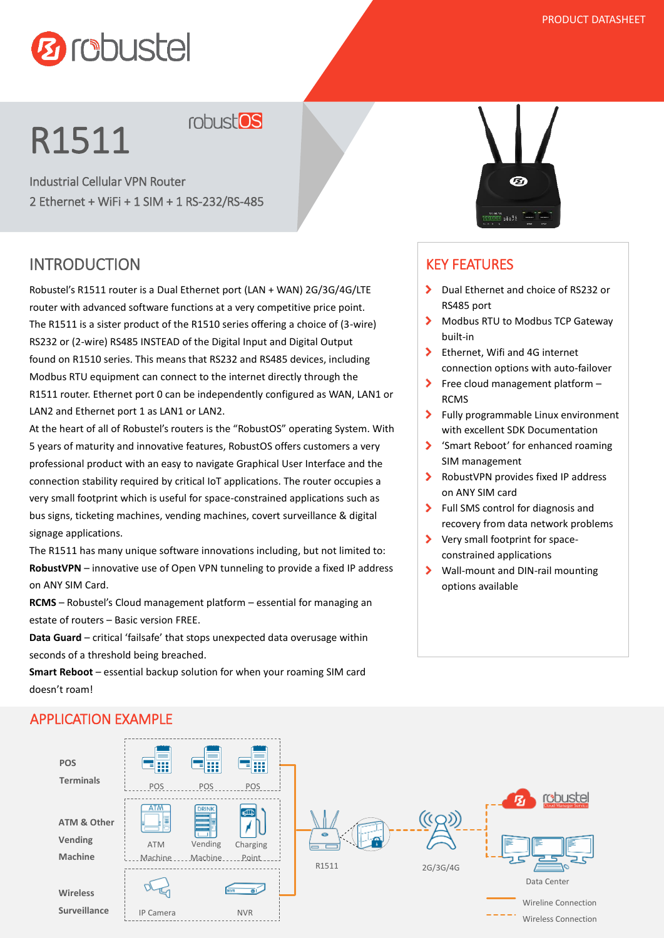## **Ø** robustel

## R1511

robust<sup>os</sup>

Industrial Cellular VPN Router 2 Ethernet + WiFi + 1 SIM + 1 RS-232/RS-485

#### INTRODUCTION

Robustel's R1511 router is a Dual Ethernet port (LAN + WAN) 2G/3G/4G/LTE router with advanced software functions at a very competitive price point. The R1511 is a sister product of the R1510 series offering a choice of (3-wire) RS232 or (2-wire) RS485 INSTEAD of the Digital Input and Digital Output found on R1510 series. This means that RS232 and RS485 devices, including Modbus RTU equipment can connect to the internet directly through the R1511 router. Ethernet port 0 can be independently configured as WAN, LAN1 or LAN2 and Ethernet port 1 as LAN1 or LAN2.

At the heart of all of Robustel's routers is the "RobustOS" operating System. With 5 years of maturity and innovative features, RobustOS offers customers a very professional product with an easy to navigate Graphical User Interface and the connection stability required by critical IoT applications. The router occupies a very small footprint which is useful for space-constrained applications such as bus signs, ticketing machines, vending machines, covert surveillance & digital signage applications.

The R1511 has many unique software innovations including, but not limited to: **RobustVPN** – innovative use of Open VPN tunneling to provide a fixed IP address on ANY SIM Card.

**RCMS** – Robustel's Cloud management platform – essential for managing an estate of routers – Basic version FREE.

**Data Guard** – critical 'failsafe' that stops unexpected data overusage within seconds of a threshold being breached.

**Smart Reboot** – essential backup solution for when your roaming SIM card doesn't roam!

# Ø

#### KEY FEATURES

- ▶ Dual Ethernet and choice of RS232 or RS485 port
- $\blacktriangleright$ Modbus RTU to Modbus TCP Gateway built-in
- $\mathbf{S}$ Ethernet, Wifi and 4G internet connection options with auto-failover
- $\blacktriangleright$ Free cloud management platform – RCMS
- $\sum$ Fully programmable Linux environment with excellent SDK Documentation
- 'Smart Reboot' for enhanced roaming SIM management
- $\blacktriangleright$ RobustVPN provides fixed IP address on ANY SIM card
- > Full SMS control for diagnosis and recovery from data network problems
- Very small footprint for spaceconstrained applications
- ≻ Wall-mount and DIN-rail mounting options available



#### APPLICATION EXAMPLE